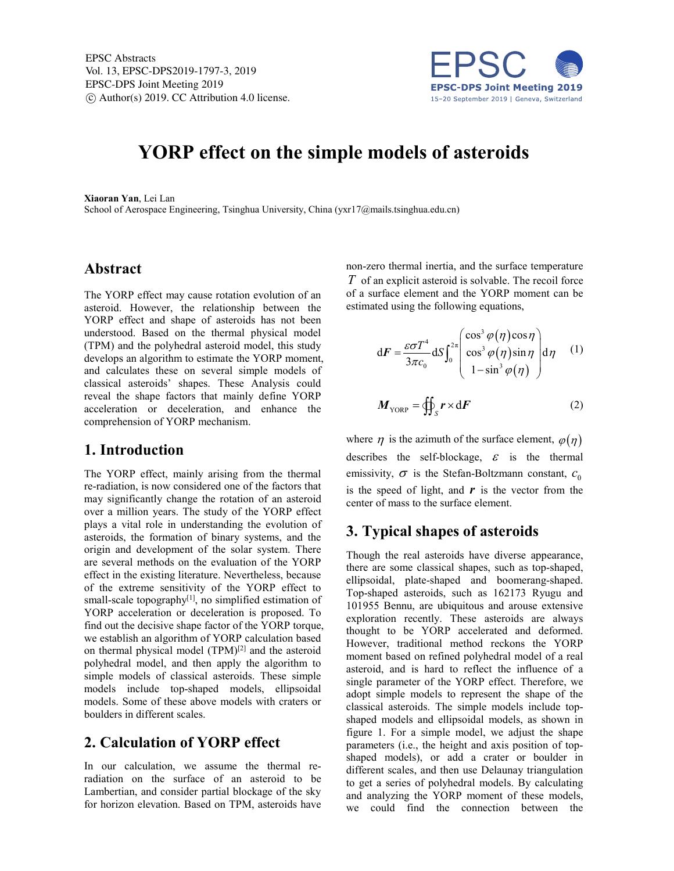

# **YORP effect on the simple models of asteroids**

**Xiaoran Yan**, Lei Lan

School of Aerospace Engineering, Tsinghua University, China (yxr17@mails.tsinghua.edu.cn)

#### **Abstract**

The YORP effect may cause rotation evolution of an asteroid. However, the relationship between the YORP effect and shape of asteroids has not been understood. Based on the thermal physical model (TPM) and the polyhedral asteroid model, this study develops an algorithm to estimate the YORP moment, and calculates these on several simple models of classical asteroids' shapes. These Analysis could reveal the shape factors that mainly define YORP acceleration or deceleration, and enhance the comprehension of YORP mechanism.

#### **1. Introduction**

The YORP effect, mainly arising from the thermal re-radiation, is now considered one of the factors that may significantly change the rotation of an asteroid over a million years. The study of the YORP effect plays a vital role in understanding the evolution of asteroids, the formation of binary systems, and the origin and development of the solar system. There are several methods on the evaluation of the YORP effect in the existing literature. Nevertheless, because of the extreme sensitivity of the YORP effect to small-scale topography<sup>[1]</sup>, no simplified estimation of YORP acceleration or deceleration is proposed. To find out the decisive shape factor of the YORP torque, we establish an algorithm of YORP calculation based on thermal physical model (TPM)<sup>[2]</sup> and the asteroid polyhedral model, and then apply the algorithm to simple models of classical asteroids. These simple models include top-shaped models, ellipsoidal models. Some of these above models with craters or boulders in different scales.

### **2. Calculation of YORP effect**

In our calculation, we assume the thermal reradiation on the surface of an asteroid to be Lambertian, and consider partial blockage of the sky for horizon elevation. Based on TPM, asteroids have non-zero thermal inertia, and the surface temperature *T* of an explicit asteroid is solvable. The recoil force of a surface element and the YORP moment can be estimated using the following equations,

$$
dF = \frac{\varepsilon \sigma T^4}{3\pi c_0} dS \int_0^{2\pi} \begin{pmatrix} \cos^3 \varphi(\eta) \cos \eta \\ \cos^3 \varphi(\eta) \sin \eta \\ 1 - \sin^3 \varphi(\eta) \end{pmatrix} d\eta \quad (1)
$$

$$
\boldsymbol{M}_{\text{YORP}} = \oiint_{S} \boldsymbol{r} \times d\boldsymbol{F}
$$
 (2)

where  $\eta$  is the azimuth of the surface element,  $\varphi(\eta)$ describes the self-blockage,  $\varepsilon$  is the thermal emissivity,  $\sigma$  is the Stefan-Boltzmann constant,  $c_0$ is the speed of light, and  $\boldsymbol{r}$  is the vector from the center of mass to the surface element.

# **3. Typical shapes of asteroids**

Though the real asteroids have diverse appearance, there are some classical shapes, such as top-shaped, ellipsoidal, plate-shaped and boomerang-shaped. Top-shaped asteroids, such as 162173 Ryugu and 101955 Bennu, are ubiquitous and arouse extensive exploration recently. These asteroids are always thought to be YORP accelerated and deformed. However, traditional method reckons the YORP moment based on refined polyhedral model of a real asteroid, and is hard to reflect the influence of a single parameter of the YORP effect. Therefore, we adopt simple models to represent the shape of the classical asteroids. The simple models include topshaped models and ellipsoidal models, as shown in figure 1. For a simple model, we adjust the shape parameters (i.e., the height and axis position of topshaped models), or add a crater or boulder in different scales, and then use Delaunay triangulation to get a series of polyhedral models. By calculating and analyzing the YORP moment of these models, we could find the connection between the